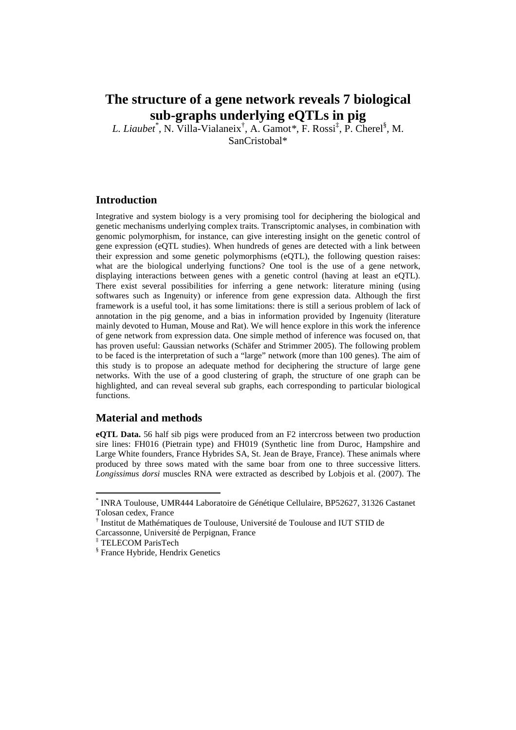# **The structure of a gene network reveals 7 biological sub-graphs underlying eQTLs in pig**

*L. Liaubet\** , N. Villa-Vialaneix† , A. Gamot*\**, F. Rossi‡ , P. Cherel§ , M.

SanCristobal\*

## **Introduction**

Integrative and system biology is a very promising tool for deciphering the biological and genetic mechanisms underlying complex traits. Transcriptomic analyses, in combination with genomic polymorphism, for instance, can give interesting insight on the genetic control of gene expression (eQTL studies). When hundreds of genes are detected with a link between their expression and some genetic polymorphisms (eQTL), the following question raises: what are the biological underlying functions? One tool is the use of a gene network, displaying interactions between genes with a genetic control (having at least an eQTL). There exist several possibilities for inferring a gene network: literature mining (using softwares such as Ingenuity) or inference from gene expression data. Although the first framework is a useful tool, it has some limitations: there is still a serious problem of lack of annotation in the pig genome, and a bias in information provided by Ingenuity (literature mainly devoted to Human, Mouse and Rat). We will hence explore in this work the inference of gene network from expression data. One simple method of inference was focused on, that has proven useful: Gaussian networks (Schäfer and Strimmer 2005). The following problem to be faced is the interpretation of such a "large" network (more than 100 genes). The aim of this study is to propose an adequate method for deciphering the structure of large gene networks. With the use of a good clustering of graph, the structure of one graph can be highlighted, and can reveal several sub graphs, each corresponding to particular biological functions.

## **Material and methods**

**eQTL Data.** 56 half sib pigs were produced from an F2 intercross between two production sire lines: FH016 (Pietrain type) and FH019 (Synthetic line from Duroc, Hampshire and Large White founders, France Hybrides SA, St. Jean de Braye, France). These animals where produced by three sows mated with the same boar from one to three successive litters. *Longissimus dorsi* muscles RNA were extracted as described by Lobjois et al. (2007). The

 $\overline{a}$ 

<sup>\*</sup> INRA Toulouse, UMR444 Laboratoire de Génétique Cellulaire, BP52627, 31326 Castanet Tolosan cedex, France

<sup>†</sup> Institut de Mathématiques de Toulouse, Université de Toulouse and IUT STID de Carcassonne, Université de Perpignan, France

<sup>‡</sup> TELECOM ParisTech

<sup>§</sup> France Hybride, Hendrix Genetics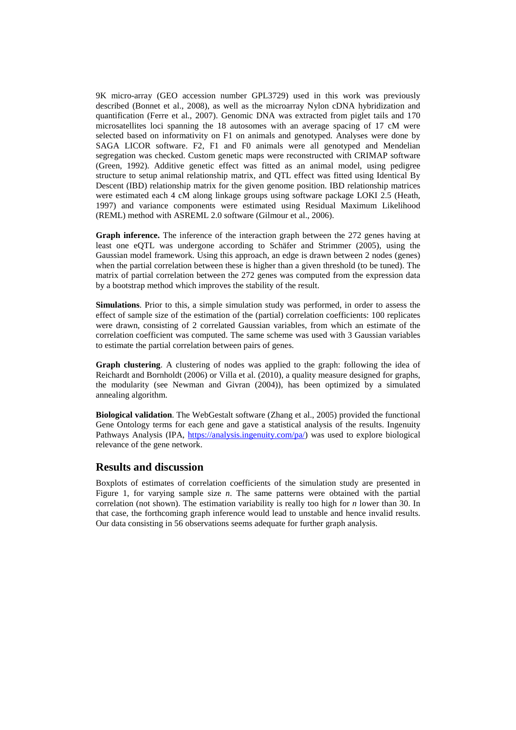9K micro-array (GEO accession number GPL3729) used in this work was previously described (Bonnet et al., 2008), as well as the microarray Nylon cDNA hybridization and quantification (Ferre et al., 2007). Genomic DNA was extracted from piglet tails and 170 microsatellites loci spanning the 18 autosomes with an average spacing of 17 cM were selected based on informativity on F1 on animals and genotyped. Analyses were done by SAGA LICOR software. F2, F1 and F0 animals were all genotyped and Mendelian segregation was checked. Custom genetic maps were reconstructed with CRIMAP software (Green, 1992). Additive genetic effect was fitted as an animal model, using pedigree structure to setup animal relationship matrix, and QTL effect was fitted using Identical By Descent (IBD) relationship matrix for the given genome position. IBD relationship matrices were estimated each 4 cM along linkage groups using software package LOKI 2.5 (Heath, 1997) and variance components were estimated using Residual Maximum Likelihood (REML) method with ASREML 2.0 software (Gilmour et al., 2006).

**Graph inference.** The inference of the interaction graph between the 272 genes having at least one eQTL was undergone according to Schäfer and Strimmer (2005), using the Gaussian model framework. Using this approach, an edge is drawn between 2 nodes (genes) when the partial correlation between these is higher than a given threshold (to be tuned). The matrix of partial correlation between the 272 genes was computed from the expression data by a bootstrap method which improves the stability of the result.

**Simulations**. Prior to this, a simple simulation study was performed, in order to assess the effect of sample size of the estimation of the (partial) correlation coefficients: 100 replicates were drawn, consisting of 2 correlated Gaussian variables, from which an estimate of the correlation coefficient was computed. The same scheme was used with 3 Gaussian variables to estimate the partial correlation between pairs of genes.

**Graph clustering**. A clustering of nodes was applied to the graph: following the idea of Reichardt and Bornholdt (2006) or Villa et al. (2010), a quality measure designed for graphs, the modularity (see Newman and Givran (2004)), has been optimized by a simulated annealing algorithm.

**Biological validation**. The WebGestalt software (Zhang et al., 2005) provided the functional Gene Ontology terms for each gene and gave a statistical analysis of the results. Ingenuity Pathways Analysis (IPA, https://analysis.ingenuity.com/pa/) was used to explore biological relevance of the gene network.

#### **Results and discussion**

Boxplots of estimates of correlation coefficients of the simulation study are presented in Figure 1, for varying sample size *n*. The same patterns were obtained with the partial correlation (not shown). The estimation variability is really too high for *n* lower than 30. In that case, the forthcoming graph inference would lead to unstable and hence invalid results. Our data consisting in 56 observations seems adequate for further graph analysis.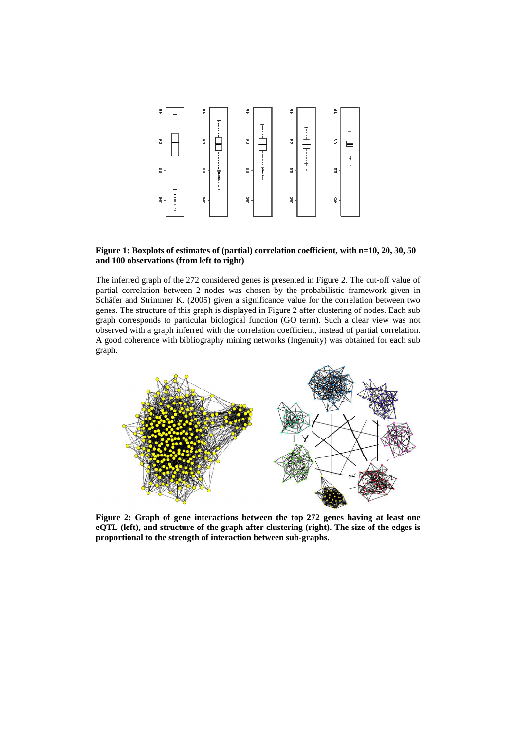

#### **Figure 1: Boxplots of estimates of (partial) correlation coefficient, with n=10, 20, 30, 50 and 100 observations (from left to right)**

The inferred graph of the 272 considered genes is presented in Figure 2. The cut-off value of partial correlation between 2 nodes was chosen by the probabilistic framework given in Schäfer and Strimmer K. (2005) given a significance value for the correlation between two genes. The structure of this graph is displayed in Figure 2 after clustering of nodes. Each sub graph corresponds to particular biological function (GO term). Such a clear view was not observed with a graph inferred with the correlation coefficient, instead of partial correlation. A good coherence with bibliography mining networks (Ingenuity) was obtained for each sub graph.



**Figure 2: Graph of gene interactions between the top 272 genes having at least one eQTL (left), and structure of the graph after clustering (right). The size of the edges is proportional to the strength of interaction between sub-graphs.**